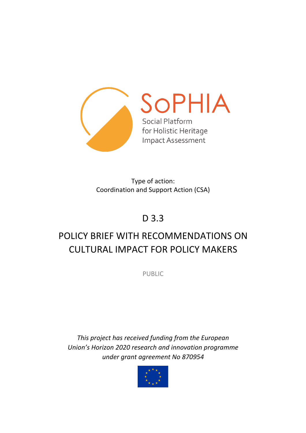

Type of action: Coordination and Support Action (CSA)

# D 3.3

# POLICY BRIEF WITH RECOMMENDATIONS ON CULTURAL IMPACT FOR POLICY MAKERS

PUBLIC

*This project has received funding from the European Union's Horizon 2020 research and innovation programme under grant agreement No 870954*

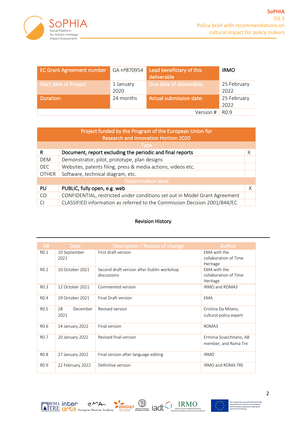

| <b>EC Grant Agreement number</b> | GA nº870954       | Lead beneficiary of this<br>deliverable | <b>IRMO</b>         |
|----------------------------------|-------------------|-----------------------------------------|---------------------|
| <b>Start date of Project</b>     | 1 January<br>2020 | Due date of deliverable:                | 25 February<br>2022 |
| Duration:                        | 24 months         | <b>Actual submission date:</b>          | 25 February<br>2022 |
|                                  |                   | Version #                               | R <sub>0.9</sub>    |

| Project funded by the Program of the European Union for<br><b>Research and Innovation Horizon 2020</b> |                                                                            |   |  |  |  |  |
|--------------------------------------------------------------------------------------------------------|----------------------------------------------------------------------------|---|--|--|--|--|
| Type,                                                                                                  |                                                                            |   |  |  |  |  |
| R                                                                                                      | Document, report excluding the periodic and final reports                  | Χ |  |  |  |  |
| <b>DEM</b>                                                                                             | Demonstrator, pilot, prototype, plan designs                               |   |  |  |  |  |
| <b>DEC</b>                                                                                             | Websites, patents filing, press & media actions, videos etc.               |   |  |  |  |  |
| <b>OTHER</b>                                                                                           | Software, technical diagram, etc.                                          |   |  |  |  |  |
| <b>Dissemination level</b>                                                                             |                                                                            |   |  |  |  |  |
| PU                                                                                                     | PUBLIC, fully open, e.g. web                                               | X |  |  |  |  |
| CO <sub>1</sub>                                                                                        | CONFIDENTIAL, restricted under conditions set out in Model Grant Agreement |   |  |  |  |  |
|                                                                                                        | CLASSIFIED information as referred to the Commission Decision 2001/844/EC  |   |  |  |  |  |

#### Revision History

| R#               | <b>Date</b>            | Description / Reason of change                            | Author                                            |
|------------------|------------------------|-----------------------------------------------------------|---------------------------------------------------|
| RO.1             | 10 September<br>2021   | First draft version                                       | EMA with the<br>collaboration of Time<br>Heritage |
| R <sub>0.2</sub> | 10 October 2021        | Second draft version after Dublin workshop<br>discussions | FMA with the<br>collaboration of Time<br>Heritage |
| R <sub>0.3</sub> | 12 October 2021        | Commented version                                         | IRMO and ROMA3                                    |
| R <sub>0.4</sub> | 29 October 2021        | Final Draft version                                       | <b>EMA</b>                                        |
| R <sub>0.5</sub> | December<br>28<br>2021 | Revised version                                           | Cristina Da Milano,<br>cultural policy expert     |
| R <sub>0.6</sub> | 14 January 2022        | Final version                                             | ROMA3                                             |
| R <sub>0.7</sub> | 20 January 2022        | Revised final version                                     | Erminia Sciacchitano, AB<br>member, and Roma Tre  |
| R <sub>0.8</sub> | 27 January 2022        | Final version after language editing                      | <b>IRMO</b>                                       |
| R <sub>0.9</sub> | 22 February 2022       | Definitive version                                        | IRMO and ROMA TRE                                 |



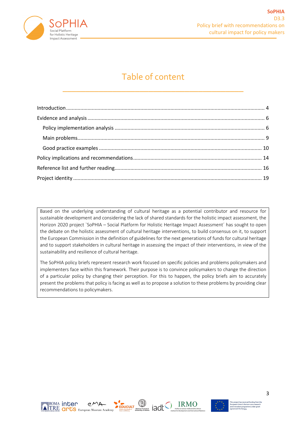

# Table of content

\_\_\_\_\_\_\_\_\_\_\_\_\_\_\_\_\_\_\_\_\_\_\_\_\_\_\_\_\_\_\_\_\_\_\_\_\_\_\_\_

Based on the underlying understanding of cultural heritage as a potential contributor and resource for sustainable development and considering the lack of shared standards for the holistic impact assessment, the Horizon 2020 project `SoPHIA – Social Platform for Holistic Heritage Impact Assessment' has sought to open the debate on the holistic assessment of cultural heritage interventions, to build consensus on it, to support the European Commission in the definition of guidelines for the next generations of funds for cultural heritage and to support stakeholders in cultural heritage in assessing the impact of their interventions, in view of the sustainability and resilience of cultural heritage.

The SoPHIA policy briefs represent research work focused on specific policies and problems policymakers and implementers face within this framework. Their purpose is to convince policymakers to change the direction of a particular policy by changing their perception. For this to happen, the policy briefs aim to accurately present the problems that policy is facing as well as to propose a solution to these problems by providing clear recommendations to policymakers.



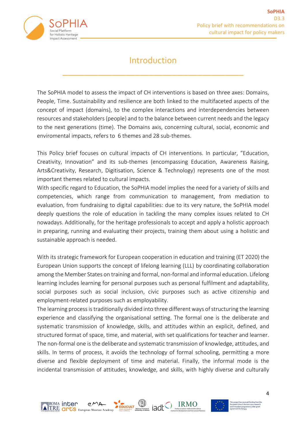

### Introduction

\_\_\_\_\_\_\_\_\_\_\_\_\_\_\_\_\_\_\_\_\_\_\_\_\_\_\_\_\_\_\_\_\_\_\_\_\_\_\_\_

The SoPHIA model to assess the impact of CH interventions is based on three axes: Domains, People, Time. Sustainability and resilience are both linked to the multifaceted aspects of the concept of impact (domains), to the complex interactions and interdependencies between resources and stakeholders (people) and to the balance between current needs and the legacy to the next generations (time). The Domains axis, concerning cultural, social, economic and enviromental impacts, refers to 6 themes and 28 sub-themes.

This Policy brief focuses on cultural impacts of CH interventions. In particular, "Education, Creativity, Innovation" and its sub-themes (encompassing Education, Awareness Raising, Arts&Creativity, Research, Digitisation, Science & Technology) represents one of the most important themes related to cultural impacts.

With specific regard to Education, the SoPHIA model implies the need for a variety of skills and competencies, which range from communication to management, from mediation to evaluation, from fundraising to digital capabilities: due to its very nature, the SoPHIA model deeply questions the role of education in tackling the many complex issues related to CH nowadays. Additionally, for the heritage professionals to accept and apply a holistic approach in preparing, running and evaluating their projects, training them about using a holistic and sustainable approach is needed.

With its strategic framework for European cooperation in education and training (ET 2020) the European Union supports the concept of lifelong learning (LLL) by coordinating collaboration among the Member States on training and formal, non-formal and informal education. Lifelong learning includes learning for personal purposes such as personal fulfilment and adaptability, social purposes such as social inclusion, civic purposes such as active citizenship and employment-related purposes such as employability.

The learning process is traditionally divided into three different ways of structuring the learning experience and classifying the organisational setting. The formal one is the deliberate and systematic transmission of knowledge, skills, and attitudes within an explicit, defined, and structured format of space, time, and material, with set qualifications for teacher and learner. The non-formal one is the deliberate and systematic transmission of knowledge, attitudes, and skills. In terms of process, it avoids the technology of formal schooling, permitting a more diverse and flexible deployment of time and material. Finally, the informal mode is the incidental transmission of attitudes, knowledge, and skills, with highly diverse and culturally



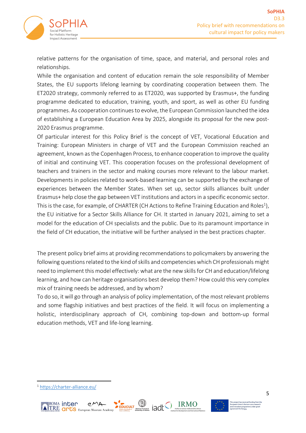

relative patterns for the organisation of time, space, and material, and personal roles and relationships.

While the organisation and content of education remain the sole responsibility of Member States, the EU supports lifelong learning by coordinating cooperation between them. The ET2020 strategy, commonly referred to as ET2020, was supported by Erasmus+, the funding programme dedicated to education, training, youth, and sport, as well as other EU funding programmes. As cooperation continues to evolve, the European Commission launched the idea of establishing a European Education Area by 2025, alongside its proposal for the new post-2020 Erasmus programme.

Of particular interest for this Policy Brief is the concept of VET, Vocational Education and Training: European Ministers in charge of VET and the European Commission reached an agreement, known as the Copenhagen Process, to enhance cooperation to improve the quality of initial and continuing VET. This cooperation focuses on the professional development of teachers and trainers in the sector and making courses more relevant to the labour market. Developments in policies related to work-based learning can be supported by the exchange of experiences between the Member States. When set up, sector skills alliances built under Erasmus+ help close the gap between VET institutions and actors in a specific economic sector. This is the case, for example, of CHARTER (CH Actions to Refine Training Education and Roles<sup>1</sup>), the EU initiative for a Sector Skills Alliance for CH. It started in January 2021, aiming to set a model for the education of CH specialists and the public. Due to its paramount importance in the field of CH education, the initiative will be further analysed in the best practices chapter.

The present policy brief aims at providing recommendations to policymakers by answering the following questions related to the kind of skills and competencies which CH professionals might need to implement this model effectively: what are the new skills for CH and education/lifelong learning, and how can heritage organisations best develop them? How could this very complex mix of training needs be addressed, and by whom?

To do so, it will go through an analysis of policy implementation, of the most relevant problems and some flagship initiatives and best practices of the field. It will focus on implementing a holistic, interdisciplinary approach of CH, combining top-down and bottom-up formal education methods, VET and life-long learning.

EDUCULT National Technic

**EXAMPLE TRE CIPLS European Museum Acade** 

≣<sup>ROMA</sup> inter





<sup>1</sup> https://charter-alliance.eu/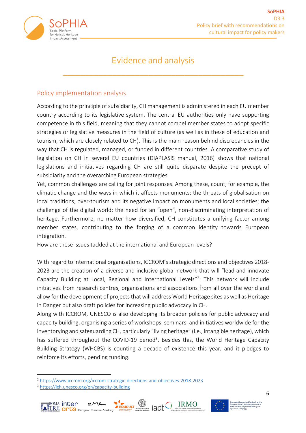

### Evidence and analysis

\_\_\_\_\_\_\_\_\_\_\_\_\_\_\_\_\_\_\_\_\_\_\_\_\_\_\_\_\_\_\_\_\_\_\_\_\_\_\_\_

#### Policy implementation analysis

According to the principle of subsidiarity, CH management is administered in each EU member country according to its legislative system. The central EU authorities only have supporting competence in this field, meaning that they cannot compel member states to adopt specific strategies or legislative measures in the field of culture (as well as in these of education and tourism, which are closely related to CH). This is the main reason behind discrepancies in the way that CH is regulated, managed, or funded in different countries. A comparative study of legislation on CH in several EU countries (DIAPLASIS manual, 2016) shows that national legislations and initiatives regarding CH are still quite disparate despite the precept of subsidiarity and the overarching European strategies.

Yet, common challenges are calling for joint responses. Among these, count, for example, the climatic change and the ways in which it affects monuments; the threats of globalisation on local traditions; over-tourism and its negative impact on monuments and local societies; the challenge of the digital world; the need for an "open", non-discriminating interpretation of heritage. Furthermore, no matter how diversified, CH constitutes a unifying factor among member states, contributing to the forging of a common identity towards European integration.

How are these issues tackled at the international and European levels?

With regard to international organisations, ICCROM's strategic directions and objectives 2018- 2023 are the creation of a diverse and inclusive global network that will "lead and innovate Capacity Building at Local, Regional and International Levels"<sup>2</sup>. This network will include initiatives from research centres, organisations and associations from all over the world and allow for the development of projects that will address World Heritage sites as well as Heritage in Danger but also draft policies for increasing public advocacy in CH.

Along with ICCROM, UNESCO is also developing its broader policies for public advocacy and capacity building, organising a series of workshops, seminars, and initiatives worldwide for the inventorying and safeguarding CH, particularly "living heritage" (i.e., intangible heritage), which has suffered throughout the COVID-19 period<sup>3</sup>. Besides this, the World Heritage Capacity Building Strategy (WHCBS) is counting a decade of existence this year, and it pledges to reinforce its efforts, pending funding.

<sup>3</sup> https://ich.unesco.org/en/capacity-building





<sup>2</sup> https://www.iccrom.org/iccrom-strategic-directions-and-objectives-2018-2023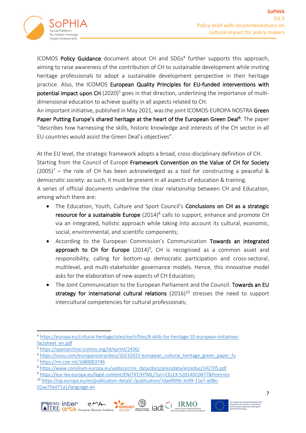

ICOMOS Policy Guidance document about CH and SDGs<sup>4</sup> further supports this approach, aiming to raise awareness of the contribution of CH to sustainable development while inviting heritage professionals to adopt a sustainable development perspective in their heritage practice. Also, the ICOMOS European Quality Principles for EU-funded interventions with potential impact upon CH  $(2020)^5$  goes in that direction, underlining the importance of multidimensional education to achieve quality in all aspects related to CH.

An important initiative, published in May 2021, was the joint ICOMOS-EUROPA NOSTRA Green Paper Putting Europe's shared heritage at the heart of the European Green Deal<sup>6</sup>. The paper "describes how harnessing the skills, historic knowledge and interests of the CH sector in all EU countries would assist the Green Deal's objectives".

At the EU level, the strategic framework adopts a broad, cross-disciplinary definition of CH. Starting from the Council of Europe Framework Convention on the Value of CH for Society  $(2005)^7$  – the role of CH has been acknowledged as a tool for constructing a peaceful & democratic society: as such, it must be present in all aspects of education & training. A series of official documents underline the clear relationship between CH and Education, among which there are:

- The Education, Youth, Culture and Sport Council's **Conclusions on CH as a strategic** resource for a sustainable Europe  $(2014)^8$  calls to support, enhance and promote CH via an integrated, holistic approach while taking into account its cultural, economic, social, environmental, and scientific components;
- According to the European Commission's Communication Towards an integrated approach to CH for Europe  $(2014)^9$ , CH is recognised as a common asset and responsibility, calling for bottom-up democratic participation and cross-sectoral, multilevel, and multi-stakeholder governance models. Hence, this innovative model asks for the elaboration of new aspects of CH Education;
- The Joint Communication to the European Parliament and the Council: Towards an EU strategy for international cultural relations  $(2016)^{10}$  stresses the need to support intercultural competencies for cultural professionals;

<sup>10</sup> https://op.europa.eu/en/publication-detail/-/publication/7dae9096-3e99-11e7-a08e-01aa75ed71a1/language-en







<sup>4</sup> https://europa.eu/cultural-heritage/sites/eych/files/8-skills-for-heritage-10-european-initiativesfactsheet\_en.pdf

<sup>5</sup> https://openarchive.icomos.org/id/eprint/2436/

<sup>6</sup> https://issuu.com/europanostra/docs/20210322-european\_cultural\_heritage\_green\_paper\_fu

<sup>7</sup> https://rm.coe.int/1680083746

<sup>8</sup> https://www.consilium.europa.eu/uedocs/cms\_data/docs/pressdata/en/educ/142705.pdf

<sup>9</sup> https://eur-lex.europa.eu/legal-content/EN/TXT/HTML/?uri=CELEX:52014DC0477&from=en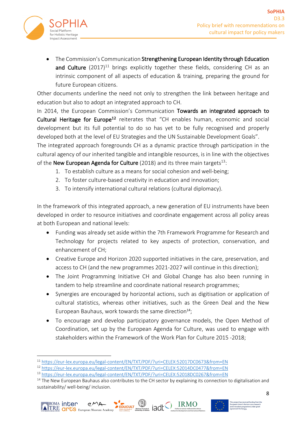

• The Commission's Communication Strengthening European Identity through Education and Culture  $(2017)^{11}$  brings explicitly together these fields, considering CH as an intrinsic component of all aspects of education & training, preparing the ground for future European citizens.

Other documents underline the need not only to strengthen the link between heritage and education but also to adopt an integrated approach to CH.

In 2014, the European Commission's Communication Towards an integrated approach to Cultural Heritage for Europe<sup>12</sup> reiterates that "CH enables human, economic and social development but its full potential to do so has yet to be fully recognised and properly developed both at the level of EU Strategies and the UN Sustainable Development Goals".

The integrated approach foregrounds CH as a dynamic practice through participation in the cultural agency of our inherited tangible and intangible resources, is in line with the objectives of the **New European Agenda for Culture** (2018) and its three main targets<sup>13</sup>:

- 1. To establish culture as a means for social cohesion and well-being;
- 2. To foster culture-based creativity in education and innovation;
- 3. To intensify international cultural relations (cultural diplomacy).

In the framework of this integrated approach, a new generation of EU instruments have been developed in order to resource initiatives and coordinate engagement across all policy areas at both European and national levels:

- Funding was already set aside within the 7th Framework Programme for Research and Technology for projects related to key aspects of protection, conservation, and enhancement of CH;
- Creative Europe and Horizon 2020 supported initiatives in the care, preservation, and access to CH (and the new programmes 2021-2027 will continue in this direction);
- The Joint Programming Initiative CH and Global Change has also been running in tandem to help streamline and coordinate national research programmes;
- Synergies are encouraged by horizontal actions, such as digitisation or application of cultural statistics, whereas other initiatives, such as the Green Deal and the New European Bauhaus, work towards the same direction<sup>14</sup>;
- To encourage and develop participatory governance models, the Open Method of Coordination, set up by the European Agenda for Culture, was used to engage with stakeholders within the Framework of the Work Plan for Culture 2015 -2018;

 $14$  The New European Bauhaus also contributes to the CH sector by explaining its connection to digitalisation and sustainability/ well-being/ inclusion.





<sup>11</sup> https://eur-lex.europa.eu/legal-content/EN/TXT/PDF/?uri=CELEX:52017DC0673&from=EN

<sup>12</sup> https://eur-lex.europa.eu/legal-content/EN/TXT/PDF/?uri=CELEX:52014DC0477&from=EN

<sup>13</sup> https://eur-lex.europa.eu/legal-content/EN/TXT/PDF/?uri=CELEX:52018DC0267&from=EN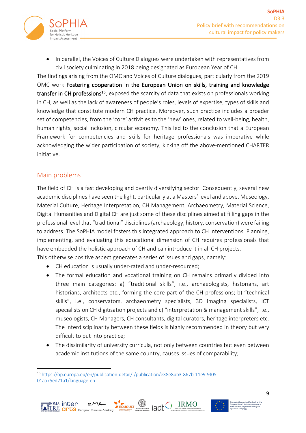

In parallel, the Voices of Culture Dialogues were undertaken with representatives from civil society culminating in 2018 being designated as European Year of CH.

The findings arising from the OMC and Voices of Culture dialogues, particularly from the 2019 OMC work Fostering cooperation in the European Union on skills, training and knowledge transfer in CH professions<sup>15</sup>, exposed the scarcity of data that exists on professionals working in CH, as well as the lack of awareness of people's roles, levels of expertise, types of skills and knowledge that constitute modern CH practice. Moreover, such practice includes a broader set of competencies, from the 'core' activities to the 'new' ones, related to well-being, health, human rights, social inclusion, circular economy. This led to the conclusion that a European Framework for competencies and skills for heritage professionals was imperative while acknowledging the wider participation of society, kicking off the above-mentioned CHARTER initiative.

### Main problems

≣<sup>ROMA</sup> inter

TRE **OPLS** European Museum Academ

The field of CH is a fast developing and overtly diversifying sector. Consequently, several new academic disciplines have seen the light, particularly at a Masters' level and above. Museology, Material Culture, Heritage Interpretation, CH Management, Archaeometry, Material Science, Digital Humanities and Digital CH are just some of these disciplines aimed at filling gaps in the professional level that "traditional" disciplines (archaeology, history, conservation) were failing to address. The SoPHIA model fosters this integrated approach to CH interventions. Planning, implementing, and evaluating this educational dimension of CH requires professionals that have embedded the holistic approach of CH and can introduce it in all CH projects. This otherwise positive aspect generates a series of issues and gaps, namely:

- CH education is usually under-rated and under-resourced;
- The formal education and vocational training on CH remains primarily divided into three main categories: a) "traditional skills", i.e., archaeologists, historians, art historians, architects etc., forming the core part of the CH professions; b) "technical skills", i.e., conservators, archaeometry specialists, 3D imaging specialists, ICT specialists on CH digitisation projects and c) "interpretation & management skills", i.e., museologists, CH Managers, CH consultants, digital curators, heritage interpreters etc. The interdisciplinarity between these fields is highly recommended in theory but very difficult to put into practice;
- The dissimilarity of university curricula, not only between countries but even between academic institutions of the same country, causes issues of comparability;

EDUCULT D JACK TRMO

<sup>15</sup> https://op.europa.eu/en/publication-detail/-/publication/e38e8bb3-867b-11e9-9f05- 01aa75ed71a1/language-en



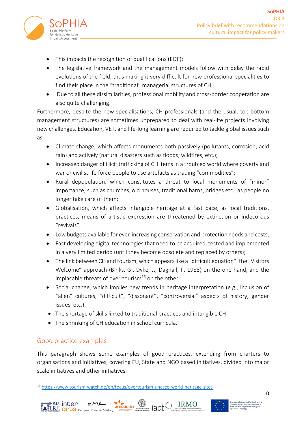

- This impacts the recognition of qualifications (EQF);
- The legislative framework and the management models follow with delay the rapid evolutions of the field, thus making it very difficult for new professional specialities to find their place in the "traditional" managerial structures of CH;
- Due to all these dissimilarities, professional mobility and cross-border cooperation are also quite challenging.

Furthermore, despite the new specialisations, CH professionals (and the usual, top-bottom management structures) are sometimes unprepared to deal with real-life projects involving new challenges. Education, VET, and life-long learning are required to tackle global issues such as:

- Climate change, which affects monuments both passively (pollutants, corrosion, acid rain) and actively (natural disasters such as floods, wildfires, etc.);
- Increased danger of illicit trafficking of CH items in a troubled world where poverty and war or civil strife force people to use artefacts as trading "commodities";
- Rural depopulation, which constitutes a threat to local monuments of "minor" importance, such as churches, old houses, traditional barns, bridges etc., as people no longer take care of them;
- Globalisation, which affects intangible heritage at a fast pace, as local traditions, practices, means of artistic expression are threatened by extinction or indecorous "revivals";
- Low budgets available for ever-increasing conservation and protection needs and costs;
- Fast developing digital technologies that need to be acquired, tested and implemented in a very limited period (until they become obsolete and replaced by others);
- The link between CH and tourism, which appears like a "difficult equation": the "Visitors Welcome" approach (Binks, G., Dyke, J., Dagnall, P. 1988) on the one hand, and the implacable threats of over-tourism<sup>16</sup> on the other;
- Social change, which implies new trends in heritage interpretation (e.g., inclusion of "alien" cultures, "difficult", "dissonant", "controversial" aspects of history, gender issues, etc.);
- The shortage of skills linked to traditional practices and intangible CH;
- The shrinking of CH education in school curricula.

### Good practice examples

≣<sup>ROMA</sup> inter

**EXAMPLE TO DES EUROPED ACADEMINATION** European Museum Acade

This paragraph shows some examples of good practices, extending from charters to organisations and initiatives, covering EU, State and NGO based initiatives, divided into major scale initiatives and other initiatives.

<sup>16</sup> https://www.tourism-watch.de/en/focus/overtourism-unesco-world-heritage-sites



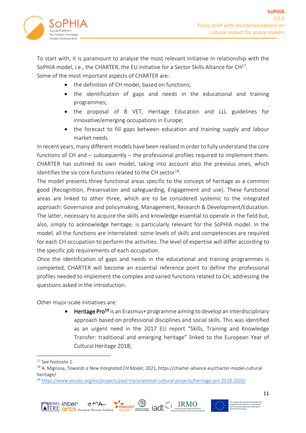

To start with, it is paramount to analyse the most relevant initiative in relationship with the SoPHIA model, i.e., the CHARTER, the EU initiative for a Sector Skills Alliance for  $CH^{17}$ . Some of the most important aspects of CHARTER are:

- the definition of CH model, based on functions;
- the identification of gaps and needs in the educational and training programmes;
- the proposal of 8 VET, Heritage Education and LLL guidelines for innovative/emerging occupations in Europe;
- the forecast to fill gaps between education and training supply and labour market needs.

In recent years, many different models have been realised in order to fully understand the core functions of CH and – subsequently – the professional profiles required to implement them. CHARTER has outlined its own model, taking into account also the previous ones, which identifies the six core functions related to the CH sector<sup>18</sup>.

The model presents three functional areas specific to the concept of heritage as a common good (Recognition, Preservation and safeguarding, Engagement and use). These functional areas are linked to other three, which are to be considered systemic to the integrated approach: Governance and policymaking, Management, Research & Development/Education. The latter, necessary to acquire the skills and knowledge essential to operate in the field but, also, simply to acknowledge heritage, is particularly relevant for the SoPHIA model. In the model, all the functions are interrelated: some levels of skills and competencies are required for each CH occupation to perform the activities. The level of expertise will differ according to the specific job requirements of each occupation.

Once the identification of gaps and needs in the educational and training programmes is completed, CHARTER will become an essential reference point to define the professional profiles needed to implement the complex and varied functions related to CH, addressing the questions asked in the introduction.

Other major-scale initiatives are:

Heritage Pro<sup>19</sup> is an Erasmus+ programme aiming to develop an interdisciplinary approach based on professional disciplines and social skills. This was identified as an urgent need in the 2017 EU report "Skills, Training and Knowledge Transfer: traditional and emerging heritage" linked to the European Year of Cultural Heritage 2018;

<sup>19</sup> https://www.encatc.org/en/projects/past-transnational-cultural-projects/heritage-pro-2018-2020/







<sup>&</sup>lt;sup>17</sup> See footnote 1.

<sup>18</sup> A. Mignosa, *Towards a New Integrated CH Model*, 2021, https://charter-alliance.eu/charter-model-culturalheritage/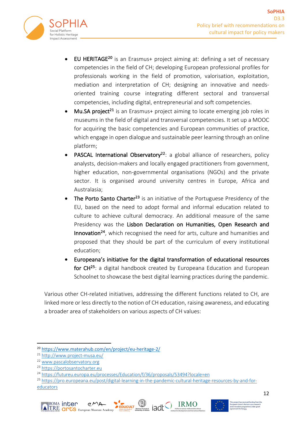

- EU HERITAGE<sup>20</sup> is an Erasmus+ project aiming at: defining a set of necessary competencies in the field of CH; developing European professional profiles for professionals working in the field of promotion, valorisation, exploitation, mediation and interpretation of CH; designing an innovative and needsoriented training course integrating different sectoral and transversal competencies, including digital, entrepreneurial and soft competencies.
- **Mu.SA project**<sup>21</sup> is an Erasmus+ project aiming to locate emerging job roles in museums in the field of digital and transversal competencies. It set up a MOOC for acquiring the basic competencies and European communities of practice, which engage in open dialogue and sustainable peer learning through an online platform;
- **PASCAL International Observatory**<sup>22</sup>: a global alliance of researchers, policy analysts, decision-makers and locally engaged practitioners from government, higher education, non-governmental organisations (NGOs) and the private sector. It is organised around university centres in Europe, Africa and Australasia;
- The Porto Santo Charter<sup>23</sup> is an initiative of the Portuguese Presidency of the EU, based on the need to adopt formal and informal education related to culture to achieve cultural democracy. An additional measure of the same Presidency was the Lisbon Declaration on Humanities, Open Research and Innovation<sup>24</sup>, which recognised the need for arts, culture and humanities and proposed that they should be part of the curriculum of every institutional education;
- Europeana's initiative for the digital transformation of educational resources for CH<sup>25</sup>: a digital handbook created by Europeana Education and European Schoolnet to showcase the best digital learning practices during the pandemic.

Various other CH-related initiatives, addressing the different functions related to CH, are linked more or less directly to the notion of CH education, raising awareness, and educating a broader area of stakeholders on various aspects of CH values:

<sup>25</sup> https://pro.europeana.eu/post/digital-learning-in-the-pandemic-cultural-heritage-resources-by-and-foreducators







<sup>20</sup> https://www.materahub.com/en/project/eu-heritage-2/

<sup>21</sup> http://www.project-musa.eu/

<sup>22</sup> www.pascalobservatory.org

<sup>23</sup> https://portosantocharter.eu

<sup>24</sup> https://futureu.europa.eu/processes/Education/f/36/proposals/53494?locale=en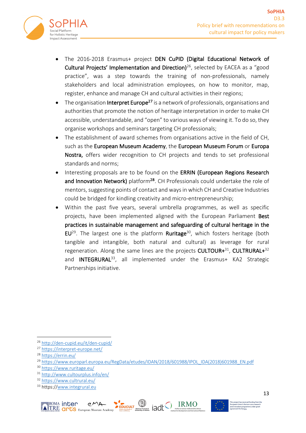

- The 2016-2018 Erasmus+ project DEN CuPID (Digital Educational Network of Cultural Projects' Implementation and Direction)<sup>26</sup>, selected by EACEA as a "good practice", was a step towards the training of non-professionals, namely stakeholders and local administration employees, on how to monitor, map, register, enhance and manage CH and cultural activities in their regions;
- The organisation Interpret Europe<sup>27</sup> is a network of professionals, organisations and authorities that promote the notion of heritage interpretation in order to make CH accessible, understandable, and "open" to various ways of viewing it. To do so, they organise workshops and seminars targeting CH professionals;
- The establishment of award schemes from organisations active in the field of CH, such as the European Museum Academy, the European Museum Forum or Europa Nostra, offers wider recognition to CH projects and tends to set professional standards and norms;
- Interesting proposals are to be found on the ERRIN (European Regions Research and Innovation Network) platform<sup>28</sup>. CH Professionals could undertake the role of mentors, suggesting points of contact and ways in which CH and Creative Industries could be bridged for kindling creativity and micro-entrepreneurship;
- Within the past five years, several umbrella programmes, as well as specific projects, have been implemented aligned with the European Parliament Best practices in sustainable management and safeguarding of cultural heritage in the  $EU^{29}$ . The largest one is the platform **Ruritage**<sup>30</sup>, which fosters heritage (both tangible and intangible, both natural and cultural) as leverage for rural regeneration. Along the same lines are the projects CULTOUR $+31$ , CULTRURAL $+32$ and **INTEGRURAL**<sup>33</sup>, all implemented under the Erasmus+ KA2 Strategic Partnerships initiative.

<sup>33</sup> https://www.integrural.eu





<sup>26</sup> http://den-cupid.eu/it/den-cupid/

<sup>27</sup> https://interpret-europe.net/

<sup>28</sup> https://errin.eu/

<sup>&</sup>lt;sup>29</sup> https://www.europarl.europa.eu/RegData/etudes/IDAN/2018/601988/IPOL\_IDA(2018)601988\_EN.pdf

<sup>30</sup> https://www.ruritage.eu/

<sup>31</sup> http://www.cultourplus.info/en/

<sup>32</sup> https://www.cultrural.eu/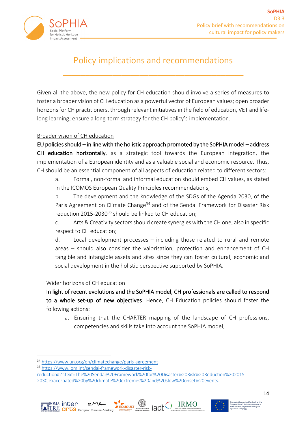

## Policy implications and recommendations

\_\_\_\_\_\_\_\_\_\_\_\_\_\_\_\_\_\_\_\_\_\_\_\_\_\_\_\_\_\_\_\_\_\_\_\_\_\_\_\_

Given all the above, the new policy for CH education should involve a series of measures to foster a broader vision of CH education as a powerful vector of European values; open broader horizons for CH practitioners, through relevant initiatives in the field of education, VET and lifelong learning; ensure a long-term strategy for the CH policy's implementation.

#### Broader vision of CH education

EU policies should – in line with the holistic approach promoted by the SoPHIA model – address CH education horizontally, as a strategic tool towards the European integration, the implementation of a European identity and as a valuable social and economic resource. Thus, CH should be an essential component of all aspects of education related to different sectors:

a. Formal, non-formal and informal education should embed CH values, as stated in the ICOMOS European Quality Principles recommendations;

b. The development and the knowledge of the SDGs of the Agenda 2030, of the Paris Agreement on Climate Change<sup>34</sup> and of the Sendai Framework for Disaster Risk reduction 2015-2030<sup>35</sup> should be linked to CH education:

c. Arts & Creativity sectors should create synergies with the CH one, also in specific respect to CH education;

d. Local development processes – including those related to rural and remote areas – should also consider the valorisation, protection and enhancement of CH tangible and intangible assets and sites since they can foster cultural, economic and social development in the holistic perspective supported by SoPHIA.

#### Wider horizons of CH education

In light of recent evolutions and the SoPHIA model, CH professionals are called to respond to a whole set-up of new objectives. Hence, CH Education policies should foster the following actions:

a. Ensuring that the CHARTER mapping of the landscape of CH professions, competencies and skills take into account the SoPHIA model;

reduction#:~:text=The%20Sendai%20Framework%20for%20Disaster%20Risk%20Reduction%202015- 2030,exacerbated%20by%20climate%20extremes%20and%20slow%20onset%20events.







<sup>34</sup> https://www.un.org/en/climatechange/paris-agreement

<sup>35</sup> https://www.iom.int/sendai-framework-disaster-risk-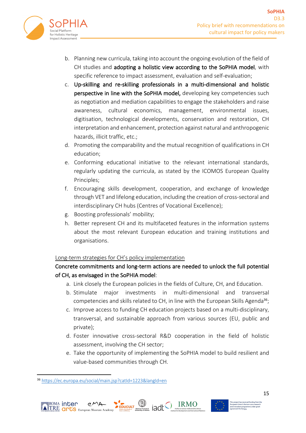

- b. Planning new curricula, taking into account the ongoing evolution of the field of CH studies and adopting a holistic view according to the SoPHIA model, with specific reference to impact assessment, evaluation and self-evaluation;
- c. Up-skilling and re-skilling professionals in a multi-dimensional and holistic perspective in line with the SoPHIA model, developing key competencies such as negotiation and mediation capabilities to engage the stakeholders and raise awareness, cultural economics, management, environmental issues, digitisation, technological developments, conservation and restoration, CH interpretation and enhancement, protection against natural and anthropogenic hazards, illicit traffic, etc.;
- d. Promoting the comparability and the mutual recognition of qualifications in CH education;
- e. Conforming educational initiative to the relevant international standards, regularly updating the curricula, as stated by the ICOMOS European Quality Principles;
- f. Encouraging skills development, cooperation, and exchange of knowledge through VET and lifelong education, including the creation of cross-sectoral and interdisciplinary CH hubs (Centres of Vocational Excellence);
- g. Boosting professionals' mobility;
- h. Better represent CH and its multifaceted features in the information systems about the most relevant European education and training institutions and organisations.

#### Long-term strategies for CH's policy implementation

#### Concrete commitments and long-term actions are needed to unlock the full potential of CH, as envisaged in the SoPHIA model:

- a. Link closely the European policies in the fields of Culture, CH, and Education.
- b. Stimulate major investments in multi-dimensional and transversal competencies and skills related to CH, in line with the European Skills Agenda<sup>36</sup>;
- c. Improve access to funding CH education projects based on a multi-disciplinary, transversal, and sustainable approach from various sources (EU, public and private);
- d. Foster innovative cross-sectoral R&D cooperation in the field of holistic assessment, involving the CH sector;
- e. Take the opportunity of implementing the SoPHIA model to build resilient and value-based communities through CH.

<sup>36</sup> https://ec.europa.eu/social/main.jsp?catId=1223&langId=en



≣<sup>ROMA</sup> inter



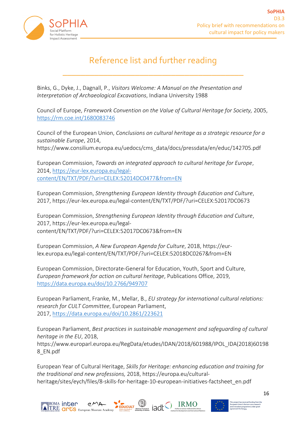

## Reference list and further reading

\_\_\_\_\_\_\_\_\_\_\_\_\_\_\_\_\_\_\_\_\_\_\_\_\_\_\_\_\_\_\_\_\_\_\_\_\_\_\_\_

Binks, G., Dyke, J., Dagnall, P., *Visitors Welcome: A Manual on the Presentation and Interpretation of Archaeological Excavations*, Indiana University 1988

Council of Europe, *Framework Convention on the Value of Cultural Heritage for Society,* 2005, https://rm.coe.int/1680083746

Council of the European Union, *Conclusions on cultural heritage as a strategic resource for a sustainable Europe*, 2014, https://www.consilium.europa.eu/uedocs/cms\_data/docs/pressdata/en/educ/142705.pdf

European Commission, *Towards an integrated approach to cultural heritage for Europe*, 2014, https://eur-lex.europa.eu/legalcontent/EN/TXT/PDF/?uri=CELEX:52014DC0477&from=EN

European Commission, *Strengthening European Identity through Education and Culture*, 2017, https://eur-lex.europa.eu/legal-content/EN/TXT/PDF/?uri=CELEX:52017DC0673

European Commission, *Strengthening European Identity through Education and Culture*, 2017, https://eur-lex.europa.eu/legalcontent/EN/TXT/PDF/?uri=CELEX:52017DC0673&from=EN

European Commission, *A New European Agenda for Culture*, 2018, https://eurlex.europa.eu/legal-content/EN/TXT/PDF/?uri=CELEX:52018DC0267&from=EN

European Commission, Directorate-General for Education, Youth, Sport and Culture, *European framework for action on cultural heritage*, Publications Office, 2019, https://data.europa.eu/doi/10.2766/949707

European Parliament, Franke, M., Mellar, B., *EU strategy for international cultural relations: research for CULT Committee*, European Parliament, 2017, https://data.europa.eu/doi/10.2861/223621

European Parliament, *Best practices in sustainable management and safeguarding of cultural heritage in the EU*, 2018,

https://www.europarl.europa.eu/RegData/etudes/IDAN/2018/601988/IPOL\_IDA(2018)60198 8\_EN.pdf

European Year of Cultural Heritage, *Skills for Heritage: enhancing education and training for the traditional and new professions,* 2018, https://europa.eu/culturalheritage/sites/eych/files/8-skills-for-heritage-10-european-initiatives-factsheet\_en.pdf



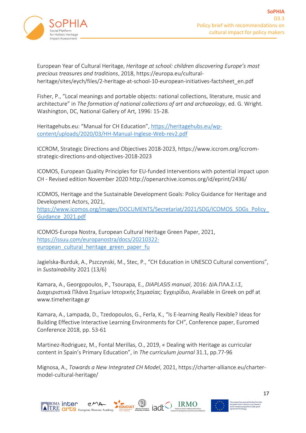

European Year of Cultural Heritage, *Heritage at school: children discovering Europe's most precious treasures and traditions*, 2018, https://europa.eu/culturalheritage/sites/eych/files/2-heritage-at-school-10-european-initiatives-factsheet\_en.pdf

Fisher, P., "Local meanings and portable objects: national collections, literature, music and architecture" in *The formation of national collections of art and archaeology*, ed. G. Wright. Washington, DC, National Gallery of Art, 1996: 15-28.

Heritagehubs.eu: "Manual for CH Education", https://heritagehubs.eu/wpcontent/uploads/2020/03/HH-Manual-Inglese-Web-rev2.pdf

ICCROM, Strategic Directions and Objectives 2018-2023, https://www.iccrom.org/iccromstrategic-directions-and-objectives-2018-2023

ICOMOS, European Quality Principles for EU-funded Interventions with potential impact upon CH - Revised edition November 2020 http://openarchive.icomos.org/id/eprint/2436/

ICOMOS, Heritage and the Sustainable Development Goals: Policy Guidance for Heritage and Development Actors, 2021,

https://www.icomos.org/images/DOCUMENTS/Secretariat/2021/SDG/ICOMOS\_SDGs\_Policy\_ Guidance\_2021.pdf

ICOMOS-Europa Nostra, European Cultural Heritage Green Paper, 2021, https://issuu.com/europanostra/docs/20210322 european\_cultural\_heritage\_green\_paper\_fu

Jagielska-Burduk, A., Pszczynski, M., Stec, P., "CH Education in UNESCO Cultural conventions", in *Sustainability* 2021 (13/6)

Kamara, A., Georgopoulos, P., Tsourapa, E., *DIAPLASIS manual*, 2016: ΔΙΑ.ΠΛΑ.Σ.Ι.Σ, Διαχειριστικά Πλάνα Σημείων Ιστορικής Σημασίας: Εγχειρίδιο, Available in Greek on pdf at www.timeheritage.gr

Kamara, A., Lampada, D., Tzedopoulos, G., Ferla, K., "Is E-learning Really Flexible? Ideas for Building Effective Interactive Learning Environments for CH", Conference paper, Euromed Conference 2018, pp. 53-61

Martinez-Rodriguez, M., Fontal Merillas, O., 2019, « Dealing with Heritage as curricular content in Spain's Primary Education", in *The curriculum journal* 31.1, pp.77-96

Mignosa, A., *Towards a New Integrated CH Model*, 2021, https://charter-alliance.eu/chartermodel-cultural-heritage/

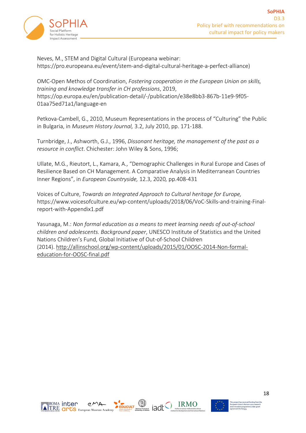

Neves, M., STEM and Digital Cultural (Europeana webinar: https://pro.europeana.eu/event/stem-and-digital-cultural-heritage-a-perfect-alliance)

OMC-Open Methos of Coordination, *Fostering cooperation in the European Union on skills, training and knowledge transfer in CH professions*, 2019, https://op.europa.eu/en/publication-detail/-/publication/e38e8bb3-867b-11e9-9f05- 01aa75ed71a1/language-en

Petkova-Cambell, G., 2010, Museum Representations in the process of "Culturing" the Public in Bulgaria, in *Museum History Journal,* 3.2, July 2010, pp. 171-188.

Turnbridge, J., Ashworth, G.J., 1996, *Dissonant heritage, the management of the past as a resource in conflict*. Chichester: John Wiley & Sons, 1996;

Ullate, M.G., Rieutort, L., Kamara, A., "Demographic Challenges in Rural Europe and Cases of Resilience Based on CH Management. A Comparative Analysis in Mediterranean Countries Inner Regions", in *European Countryside,* 12.3, 2020*,* pp.408-431

Voices of Culture, *Towards an Integrated Approach to Cultural heritage for Europe,* https://www.voicesofculture.eu/wp-content/uploads/2018/06/VoC-Skills-and-training-Finalreport-with-Appendix1.pdf

Yasunaga, M.: *Non formal education as a means to meet learning needs of out-of-school children and adolescents. Background paper*, UNESCO Institute of Statistics and the United Nations Children's Fund, Global Initiative of Out-of-School Children (2014). http://allinschool.org/wp-content/uploads/2015/01/OOSC-2014-Non-formaleducation-for-OOSC-final.pdf



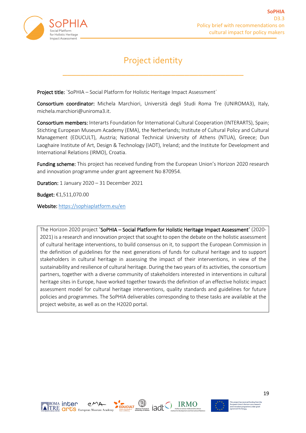

### Project identity

\_\_\_\_\_\_\_\_\_\_\_\_\_\_\_\_\_\_\_\_\_\_\_\_\_\_\_\_\_\_\_\_\_\_\_\_\_\_\_\_

Project title: `SoPHIA – Social Platform for Holistic Heritage Impact Assessment´

Consortium coordinator: Michela Marchiori, Università degli Studi Roma Tre (UNIROMA3), Italy, michela.marchiori@uniroma3.it.

Consortium members: Interarts Foundation for International Cultural Cooperation (INTERARTS), Spain; Stichting European Museum Academy (EMA), the Netherlands; Institute of Cultural Policy and Cultural Management (EDUCULT), Austria; National Technical University of Athens (NTUA), Greece; Dun Laoghaire Institute of Art, Design & Technology (IADT), Ireland; and the Institute for Development and International Relations (IRMO), Croatia.

Funding scheme: This project has received funding from the European Union's Horizon 2020 research and innovation programme under grant agreement No 870954.

Duration: 1 January 2020 – 31 December 2021

Budget: €1,511,070.00

Website: https://sophiaplatform.eu/en

The Horizon 2020 project 'SoPHIA – Social Platform for Holistic Heritage Impact Assessment' (2020-2021) is a research and innovation project that sought to open the debate on the holistic assessment of cultural heritage interventions, to build consensus on it, to support the European Commission in the definition of guidelines for the next generations of funds for cultural heritage and to support stakeholders in cultural heritage in assessing the impact of their interventions, in view of the sustainability and resilience of cultural heritage. During the two years of its activities, the consortium partners, together with a diverse community of stakeholders interested in interventions in cultural heritage sites in Europe, have worked together towards the definition of an effective holistic impact assessment model for cultural heritage interventions, quality standards and guidelines for future policies and programmes. The SoPHIA deliverables corresponding to these tasks are available at the project website, as well as on the H2020 portal.